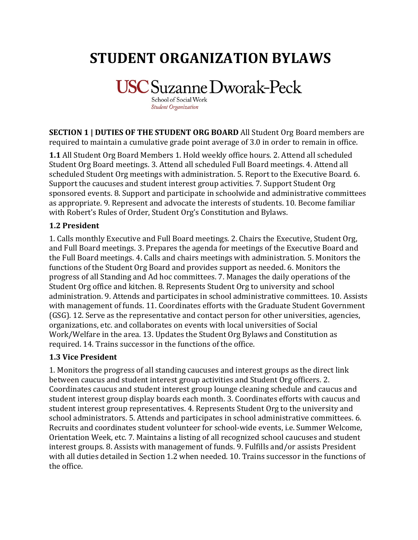# **STUDENT ORGANIZATION BYLAWS**

**USC** Suzanne Dworak-Peck

School of Social Work **Student Organization** 

**SECTION 1 | DUTIES OF THE STUDENT ORG BOARD** All Student Org Board members are required to maintain a cumulative grade point average of 3.0 in order to remain in office.

**1.1** All Student Org Board Members 1. Hold weekly office hours. 2. Attend all scheduled Student Org Board meetings. 3. Attend all scheduled Full Board meetings. 4. Attend all scheduled Student Org meetings with administration. 5. Report to the Executive Board. 6. Support the caucuses and student interest group activities. 7. Support Student Org sponsored events. 8. Support and participate in schoolwide and administrative committees as appropriate. 9. Represent and advocate the interests of students. 10. Become familiar with Robert's Rules of Order, Student Org's Constitution and Bylaws.

## **1.2 President**

1. Calls monthly Executive and Full Board meetings. 2. Chairs the Executive, Student Org, and Full Board meetings. 3. Prepares the agenda for meetings of the Executive Board and the Full Board meetings. 4. Calls and chairs meetings with administration. 5. Monitors the functions of the Student Org Board and provides support as needed. 6. Monitors the progress of all Standing and Ad hoc committees. 7. Manages the daily operations of the Student Org office and kitchen. 8. Represents Student Org to university and school administration. 9. Attends and participates in school administrative committees. 10. Assists with management of funds. 11. Coordinates efforts with the Graduate Student Government (GSG). 12. Serve as the representative and contact person for other universities, agencies, organizations, etc. and collaborates on events with local universities of Social Work/Welfare in the area. 13. Updates the Student Org Bylaws and Constitution as required. 14. Trains successor in the functions of the office.

## **1.3 Vice President**

1. Monitors the progress of all standing caucuses and interest groups as the direct link between caucus and student interest group activities and Student Org officers. 2. Coordinates caucus and student interest group lounge cleaning schedule and caucus and student interest group display boards each month. 3. Coordinates efforts with caucus and student interest group representatives. 4. Represents Student Org to the university and school administrators. 5. Attends and participates in school administrative committees. 6. Recruits and coordinates student volunteer for school-wide events, i.e. Summer Welcome, Orientation Week, etc. 7. Maintains a listing of all recognized school caucuses and student interest groups. 8. Assists with management of funds. 9. Fulfills and/or assists President with all duties detailed in Section 1.2 when needed. 10. Trains successor in the functions of the office.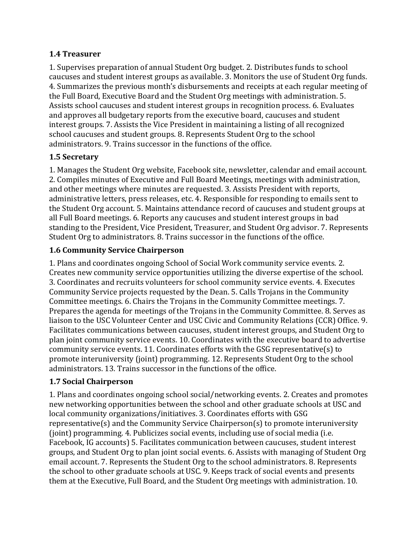#### **1.4 Treasurer**

1. Supervises preparation of annual Student Org budget. 2. Distributes funds to school caucuses and student interest groups as available. 3. Monitors the use of Student Org funds. 4. Summarizes the previous month's disbursements and receipts at each regular meeting of the Full Board, Executive Board and the Student Org meetings with administration. 5. Assists school caucuses and student interest groups in recognition process. 6. Evaluates and approves all budgetary reports from the executive board, caucuses and student interest groups. 7. Assists the Vice President in maintaining a listing of all recognized school caucuses and student groups. 8. Represents Student Org to the school administrators. 9. Trains successor in the functions of the office.

## **1.5 Secretary**

1. Manages the Student Org website, Facebook site, newsletter, calendar and email account. 2. Compiles minutes of Executive and Full Board Meetings, meetings with administration, and other meetings where minutes are requested. 3. Assists President with reports, administrative letters, press releases, etc. 4. Responsible for responding to emails sent to the Student Org account. 5. Maintains attendance record of caucuses and student groups at all Full Board meetings. 6. Reports any caucuses and student interest groups in bad standing to the President, Vice President, Treasurer, and Student Org advisor. 7. Represents Student Org to administrators. 8. Trains successor in the functions of the office.

## **1.6 Community Service Chairperson**

1. Plans and coordinates ongoing School of Social Work community service events. 2. Creates new community service opportunities utilizing the diverse expertise of the school. 3. Coordinates and recruits volunteers for school community service events. 4. Executes Community Service projects requested by the Dean. 5. Calls Trojans in the Community Committee meetings. 6. Chairs the Trojans in the Community Committee meetings. 7. Prepares the agenda for meetings of the Trojans in the Community Committee. 8. Serves as liaison to the USC Volunteer Center and USC Civic and Community Relations (CCR) Office. 9. Facilitates communications between caucuses, student interest groups, and Student Org to plan joint community service events. 10. Coordinates with the executive board to advertise community service events. 11. Coordinates efforts with the GSG representative(s) to promote interuniversity (joint) programming. 12. Represents Student Org to the school administrators. 13. Trains successor in the functions of the office.

## **1.7 Social Chairperson**

1. Plans and coordinates ongoing school social/networking events. 2. Creates and promotes new networking opportunities between the school and other graduate schools at USC and local community organizations/initiatives. 3. Coordinates efforts with GSG representative(s) and the Community Service Chairperson(s) to promote interuniversity (joint) programming. 4. Publicizes social events, including use of social media (i.e. Facebook, IG accounts) 5. Facilitates communication between caucuses, student interest groups, and Student Org to plan joint social events. 6. Assists with managing of Student Org email account. 7. Represents the Student Org to the school administrators. 8. Represents the school to other graduate schools at USC. 9. Keeps track of social events and presents them at the Executive, Full Board, and the Student Org meetings with administration. 10.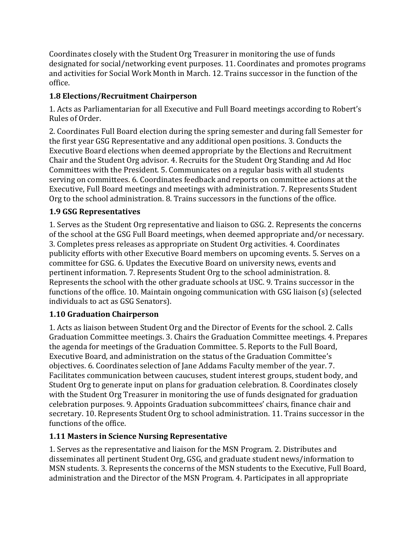Coordinates closely with the Student Org Treasurer in monitoring the use of funds designated for social/networking event purposes. 11. Coordinates and promotes programs and activities for Social Work Month in March. 12. Trains successor in the function of the office.

# **1.8 Elections/Recruitment Chairperson**

1. Acts as Parliamentarian for all Executive and Full Board meetings according to Robert's Rules of Order.

2. Coordinates Full Board election during the spring semester and during fall Semester for the first year GSG Representative and any additional open positions. 3. Conducts the Executive Board elections when deemed appropriate by the Elections and Recruitment Chair and the Student Org advisor. 4. Recruits for the Student Org Standing and Ad Hoc Committees with the President. 5. Communicates on a regular basis with all students serving on committees. 6. Coordinates feedback and reports on committee actions at the Executive, Full Board meetings and meetings with administration. 7. Represents Student Org to the school administration. 8. Trains successors in the functions of the office.

# **1.9 GSG Representatives**

1. Serves as the Student Org representative and liaison to GSG. 2. Represents the concerns of the school at the GSG Full Board meetings, when deemed appropriate and/or necessary. 3. Completes press releases as appropriate on Student Org activities. 4. Coordinates publicity efforts with other Executive Board members on upcoming events. 5. Serves on a committee for GSG. 6. Updates the Executive Board on university news, events and pertinent information. 7. Represents Student Org to the school administration. 8. Represents the school with the other graduate schools at USC. 9. Trains successor in the functions of the office. 10. Maintain ongoing communication with GSG liaison (s) (selected individuals to act as GSG Senators).

# **1.10 Graduation Chairperson**

1. Acts as liaison between Student Org and the Director of Events for the school. 2. Calls Graduation Committee meetings. 3. Chairs the Graduation Committee meetings. 4. Prepares the agenda for meetings of the Graduation Committee. 5. Reports to the Full Board, Executive Board, and administration on the status of the Graduation Committee's objectives. 6. Coordinates selection of Jane Addams Faculty member of the year. 7. Facilitates communication between caucuses, student interest groups, student body, and Student Org to generate input on plans for graduation celebration. 8. Coordinates closely with the Student Org Treasurer in monitoring the use of funds designated for graduation celebration purposes. 9. Appoints Graduation subcommittees' chairs, finance chair and secretary. 10. Represents Student Org to school administration. 11. Trains successor in the functions of the office.

# **1.11 Masters in Science Nursing Representative**

1. Serves as the representative and liaison for the MSN Program. 2. Distributes and disseminates all pertinent Student Org, GSG, and graduate student news/information to MSN students. 3. Represents the concerns of the MSN students to the Executive, Full Board, administration and the Director of the MSN Program. 4. Participates in all appropriate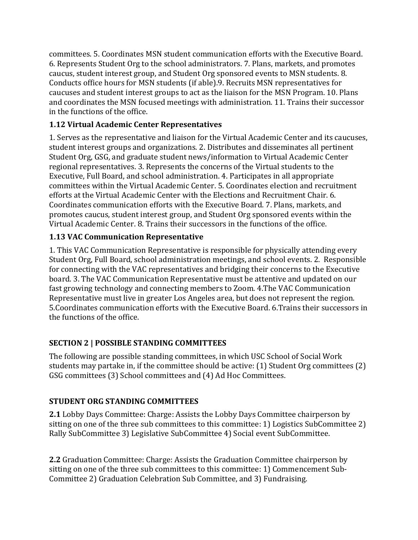committees. 5. Coordinates MSN student communication efforts with the Executive Board. 6. Represents Student Org to the school administrators. 7. Plans, markets, and promotes caucus, student interest group, and Student Org sponsored events to MSN students. 8. Conducts office hours for MSN students (if able).9. Recruits MSN representatives for caucuses and student interest groups to act as the liaison for the MSN Program. 10. Plans and coordinates the MSN focused meetings with administration. 11. Trains their successor in the functions of the office.

## **1.12 Virtual Academic Center Representatives**

1. Serves as the representative and liaison for the Virtual Academic Center and its caucuses, student interest groups and organizations. 2. Distributes and disseminates all pertinent Student Org, GSG, and graduate student news/information to Virtual Academic Center regional representatives. 3. Represents the concerns of the Virtual students to the Executive, Full Board, and school administration. 4. Participates in all appropriate committees within the Virtual Academic Center. 5. Coordinates election and recruitment efforts at the Virtual Academic Center with the Elections and Recruitment Chair. 6. Coordinates communication efforts with the Executive Board. 7. Plans, markets, and promotes caucus, student interest group, and Student Org sponsored events within the Virtual Academic Center. 8. Trains their successors in the functions of the office.

## **1.13 VAC Communication Representative**

1. This VAC Communication Representative is responsible for physically attending every Student Org, Full Board, school administration meetings, and school events. 2. Responsible for connecting with the VAC representatives and bridging their concerns to the Executive board. 3. The VAC Communication Representative must be attentive and updated on our fast growing technology and connecting members to Zoom. 4.The VAC Communication Representative must live in greater Los Angeles area, but does not represent the region. 5.Coordinates communication efforts with the Executive Board. 6.Trains their successors in the functions of the office.

# **SECTION 2 | POSSIBLE STANDING COMMITTEES**

The following are possible standing committees, in which USC School of Social Work students may partake in, if the committee should be active: (1) Student Org committees (2) GSG committees (3) School committees and (4) Ad Hoc Committees.

# **STUDENT ORG STANDING COMMITTEES**

**2.1** Lobby Days Committee: Charge: Assists the Lobby Days Committee chairperson by sitting on one of the three sub committees to this committee: 1) Logistics SubCommittee 2) Rally SubCommittee 3) Legislative SubCommittee 4) Social event SubCommittee.

**2.2** Graduation Committee: Charge: Assists the Graduation Committee chairperson by sitting on one of the three sub committees to this committee: 1) Commencement Sub-Committee 2) Graduation Celebration Sub Committee, and 3) Fundraising.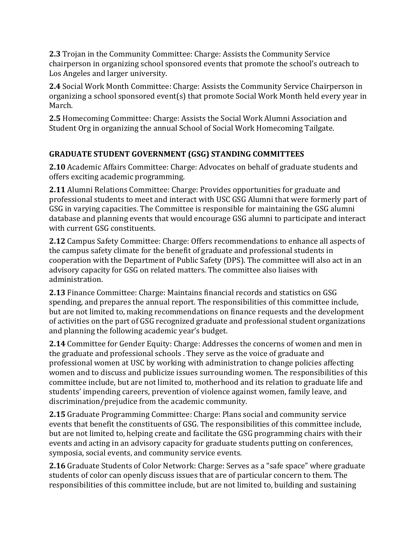**2.3** Trojan in the Community Committee: Charge: Assists the Community Service chairperson in organizing school sponsored events that promote the school's outreach to Los Angeles and larger university.

**2.4** Social Work Month Committee: Charge: Assists the Community Service Chairperson in organizing a school sponsored event(s) that promote Social Work Month held every year in March.

**2.5** Homecoming Committee: Charge: Assists the Social Work Alumni Association and Student Org in organizing the annual School of Social Work Homecoming Tailgate.

# **GRADUATE STUDENT GOVERNMENT (GSG) STANDING COMMITTEES**

**2.10** Academic Affairs Committee: Charge: Advocates on behalf of graduate students and offers exciting academic programming.

**2.11** Alumni Relations Committee: Charge: Provides opportunities for graduate and professional students to meet and interact with USC GSG Alumni that were formerly part of GSG in varying capacities. The Committee is responsible for maintaining the GSG alumni database and planning events that would encourage GSG alumni to participate and interact with current GSG constituents.

**2.12** Campus Safety Committee: Charge: Offers recommendations to enhance all aspects of the campus safety climate for the benefit of graduate and professional students in cooperation with the Department of Public Safety (DPS). The committee will also act in an advisory capacity for GSG on related matters. The committee also liaises with administration.

**2.13** Finance Committee: Charge: Maintains financial records and statistics on GSG spending, and prepares the annual report. The responsibilities of this committee include, but are not limited to, making recommendations on finance requests and the development of activities on the part of GSG recognized graduate and professional student organizations and planning the following academic year's budget.

**2.14** Committee for Gender Equity: Charge: Addresses the concerns of women and men in the graduate and professional schools . They serve as the voice of graduate and professional women at USC by working with administration to change policies affecting women and to discuss and publicize issues surrounding women. The responsibilities of this committee include, but are not limited to, motherhood and its relation to graduate life and students' impending careers, prevention of violence against women, family leave, and discrimination/prejudice from the academic community.

**2.15** Graduate Programming Committee: Charge: Plans social and community service events that benefit the constituents of GSG. The responsibilities of this committee include, but are not limited to, helping create and facilitate the GSG programming chairs with their events and acting in an advisory capacity for graduate students putting on conferences, symposia, social events, and community service events.

**2.16** Graduate Students of Color Network: Charge: Serves as a "safe space" where graduate students of color can openly discuss issues that are of particular concern to them. The responsibilities of this committee include, but are not limited to, building and sustaining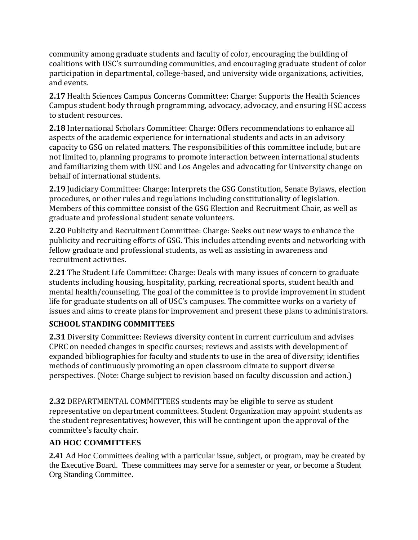community among graduate students and faculty of color, encouraging the building of coalitions with USC's surrounding communities, and encouraging graduate student of color participation in departmental, college-based, and university wide organizations, activities, and events.

**2.17** Health Sciences Campus Concerns Committee: Charge: Supports the Health Sciences Campus student body through programming, advocacy, advocacy, and ensuring HSC access to student resources.

**2.18** International Scholars Committee: Charge: Offers recommendations to enhance all aspects of the academic experience for international students and acts in an advisory capacity to GSG on related matters. The responsibilities of this committee include, but are not limited to, planning programs to promote interaction between international students and familiarizing them with USC and Los Angeles and advocating for University change on behalf of international students.

**2.19** Judiciary Committee: Charge: Interprets the GSG Constitution, Senate Bylaws, election procedures, or other rules and regulations including constitutionality of legislation. Members of this committee consist of the GSG Election and Recruitment Chair, as well as graduate and professional student senate volunteers.

**2.20** Publicity and Recruitment Committee: Charge: Seeks out new ways to enhance the publicity and recruiting efforts of GSG. This includes attending events and networking with fellow graduate and professional students, as well as assisting in awareness and recruitment activities.

**2.21** The Student Life Committee: Charge: Deals with many issues of concern to graduate students including housing, hospitality, parking, recreational sports, student health and mental health/counseling. The goal of the committee is to provide improvement in student life for graduate students on all of USC's campuses. The committee works on a variety of issues and aims to create plans for improvement and present these plans to administrators.

## **SCHOOL STANDING COMMITTEES**

**2.31** Diversity Committee: Reviews diversity content in current curriculum and advises CPRC on needed changes in specific courses; reviews and assists with development of expanded bibliographies for faculty and students to use in the area of diversity; identifies methods of continuously promoting an open classroom climate to support diverse perspectives. (Note: Charge subject to revision based on faculty discussion and action.)

**2.32** DEPARTMENTAL COMMITTEES students may be eligible to serve as student representative on department committees. Student Organization may appoint students as the student representatives; however, this will be contingent upon the approval of the committee's faculty chair.

# **AD HOC COMMITTEES**

**2.41** Ad Hoc Committees dealing with a particular issue, subject, or program, may be created by the Executive Board. These committees may serve for a semester or year, or become a Student Org Standing Committee.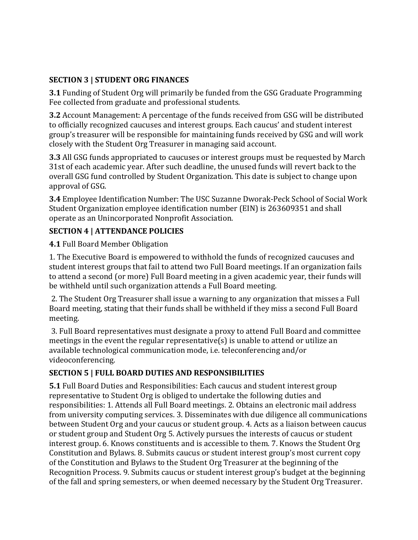## **SECTION 3 | STUDENT ORG FINANCES**

**3.1** Funding of Student Org will primarily be funded from the GSG Graduate Programming Fee collected from graduate and professional students.

**3.2** Account Management: A percentage of the funds received from GSG will be distributed to officially recognized caucuses and interest groups. Each caucus' and student interest group's treasurer will be responsible for maintaining funds received by GSG and will work closely with the Student Org Treasurer in managing said account.

**3.3** All GSG funds appropriated to caucuses or interest groups must be requested by March 31st of each academic year. After such deadline, the unused funds will revert back to the overall GSG fund controlled by Student Organization. This date is subject to change upon approval of GSG.

**3.4** Employee Identification Number: The USC Suzanne Dworak-Peck School of Social Work Student Organization employee identification number (EIN) is 263609351 and shall operate as an Unincorporated Nonprofit Association.

## **SECTION 4 | ATTENDANCE POLICIES**

## **4.1** Full Board Member Obligation

1. The Executive Board is empowered to withhold the funds of recognized caucuses and student interest groups that fail to attend two Full Board meetings. If an organization fails to attend a second (or more) Full Board meeting in a given academic year, their funds will be withheld until such organization attends a Full Board meeting.

2. The Student Org Treasurer shall issue a warning to any organization that misses a Full Board meeting, stating that their funds shall be withheld if they miss a second Full Board meeting.

3. Full Board representatives must designate a proxy to attend Full Board and committee meetings in the event the regular representative(s) is unable to attend or utilize an available technological communication mode, i.e. teleconferencing and/or videoconferencing.

## **SECTION 5 | FULL BOARD DUTIES AND RESPONSIBILITIES**

**5.1** Full Board Duties and Responsibilities: Each caucus and student interest group representative to Student Org is obliged to undertake the following duties and responsibilities: 1. Attends all Full Board meetings. 2. Obtains an electronic mail address from university computing services. 3. Disseminates with due diligence all communications between Student Org and your caucus or student group. 4. Acts as a liaison between caucus or student group and Student Org 5. Actively pursues the interests of caucus or student interest group. 6. Knows constituents and is accessible to them. 7. Knows the Student Org Constitution and Bylaws. 8. Submits caucus or student interest group's most current copy of the Constitution and Bylaws to the Student Org Treasurer at the beginning of the Recognition Process. 9. Submits caucus or student interest group's budget at the beginning of the fall and spring semesters, or when deemed necessary by the Student Org Treasurer.